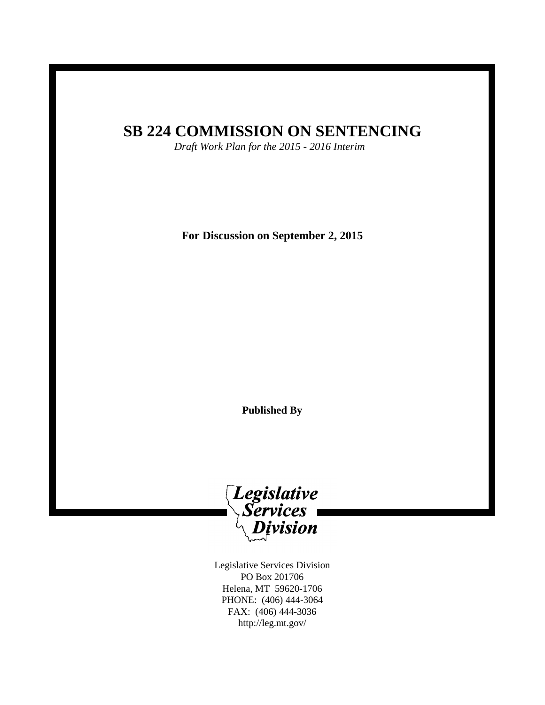# **SB 224 COMMISSION ON SENTENCING**

*Draft Work Plan for the 2015 - 2016 Interim*

**For Discussion on September 2, 2015**

**Published By**



Legislative Services Division PO Box 201706 Helena, MT 59620-1706 PHONE: (406) 444-3064 FAX: (406) 444-3036 http://leg.mt.gov/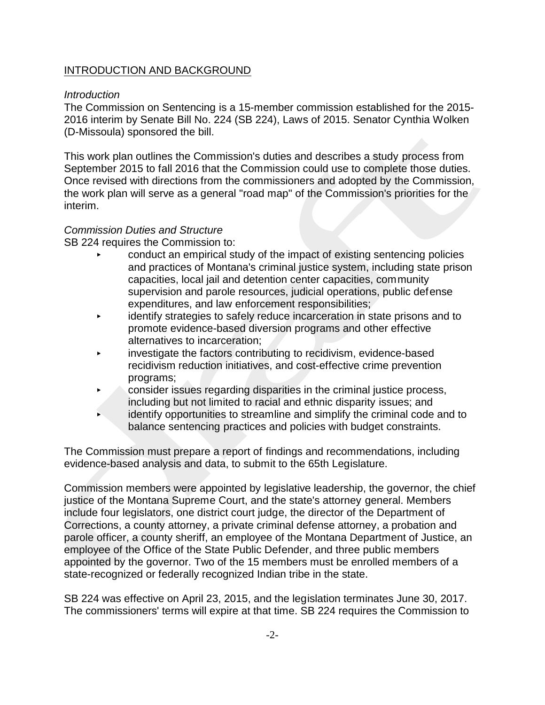### INTRODUCTION AND BACKGROUND

### *Introduction*

The Commission on Sentencing is a 15-member commission established for the 2015- 2016 interim by Senate Bill No. 224 (SB 224), Laws of 2015. Senator Cynthia Wolken (D-Missoula) sponsored the bill.

This work plan outlines the Commission's duties and describes a study process from September 2015 to fall 2016 that the Commission could use to complete those duties. Once revised with directions from the commissioners and adopted by the Commission, the work plan will serve as a general "road map" of the Commission's priorities for the interim.

#### *Commission Duties and Structure*

SB 224 requires the Commission to:

- < conduct an empirical study of the impact of existing sentencing policies and practices of Montana's criminal justice system, including state prison capacities, local jail and detention center capacities, community supervision and parole resources, judicial operations, public defense expenditures, and law enforcement responsibilities;
- < identify strategies to safely reduce incarceration in state prisons and to promote evidence-based diversion programs and other effective alternatives to incarceration;
- $\overline{\phantom{a}}$  investigate the factors contributing to recidivism, evidence-based recidivism reduction initiatives, and cost-effective crime prevention programs;
- $\triangleright$  consider issues regarding disparities in the criminal justice process, including but not limited to racial and ethnic disparity issues; and
- $\overline{\phantom{a}}$  identify opportunities to streamline and simplify the criminal code and to balance sentencing practices and policies with budget constraints.

The Commission must prepare a report of findings and recommendations, including evidence-based analysis and data, to submit to the 65th Legislature.

Commission members were appointed by legislative leadership, the governor, the chief justice of the Montana Supreme Court, and the state's attorney general. Members include four legislators, one district court judge, the director of the Department of Corrections, a county attorney, a private criminal defense attorney, a probation and parole officer, a county sheriff, an employee of the Montana Department of Justice, an employee of the Office of the State Public Defender, and three public members appointed by the governor. Two of the 15 members must be enrolled members of a state-recognized or federally recognized Indian tribe in the state.

SB 224 was effective on April 23, 2015, and the legislation terminates June 30, 2017. The commissioners' terms will expire at that time. SB 224 requires the Commission to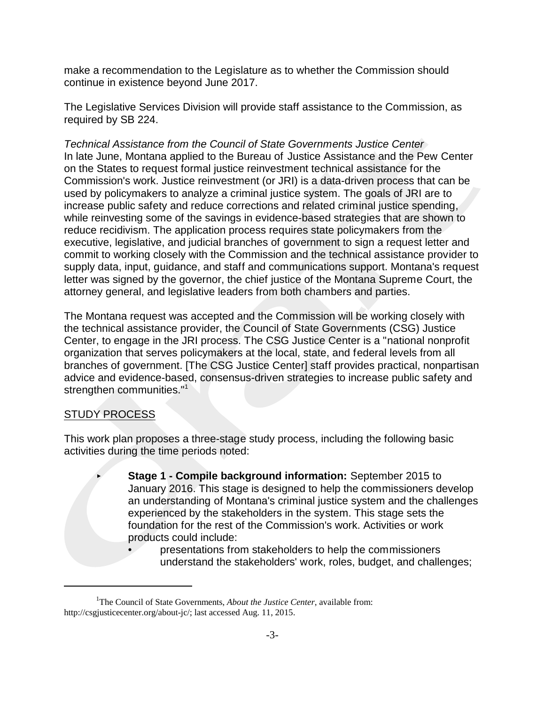make a recommendation to the Legislature as to whether the Commission should continue in existence beyond June 2017.

The Legislative Services Division will provide staff assistance to the Commission, as required by SB 224.

*Technical Assistance from the Council of State Governments Justice Center* In late June, Montana applied to the Bureau of Justice Assistance and the Pew Center on the States to request formal justice reinvestment technical assistance for the Commission's work. Justice reinvestment (or JRI) is a data-driven process that can be used by policymakers to analyze a criminal justice system. The goals of JRI are to increase public safety and reduce corrections and related criminal justice spending, while reinvesting some of the savings in evidence-based strategies that are shown to reduce recidivism. The application process requires state policymakers from the executive, legislative, and judicial branches of government to sign a request letter and commit to working closely with the Commission and the technical assistance provider to supply data, input, guidance, and staff and communications support. Montana's request letter was signed by the governor, the chief justice of the Montana Supreme Court, the attorney general, and legislative leaders from both chambers and parties.

The Montana request was accepted and the Commission will be working closely with the technical assistance provider, the Council of State Governments (CSG) Justice Center, to engage in the JRI process. The CSG Justice Center is a "national nonprofit organization that serves policymakers at the local, state, and federal levels from all branches of government. [The CSG Justice Center] staff provides practical, nonpartisan advice and evidence-based, consensus-driven strategies to increase public safety and strengthen communities."<sup>1</sup>

### STUDY PROCESS

This work plan proposes a three-stage study process, including the following basic activities during the time periods noted:

- **Stage 1 Compile background information: September 2015 to** January 2016. This stage is designed to help the commissioners develop an understanding of Montana's criminal justice system and the challenges experienced by the stakeholders in the system. This stage sets the foundation for the rest of the Commission's work. Activities or work products could include:
	- **presentations from stakeholders to help the commissioners** understand the stakeholders' work, roles, budget, and challenges;

<sup>&</sup>lt;sup>1</sup>The Council of State Governments, *About the Justice Center*, available from: http://csgjusticecenter.org/about-jc/; last accessed Aug. 11, 2015.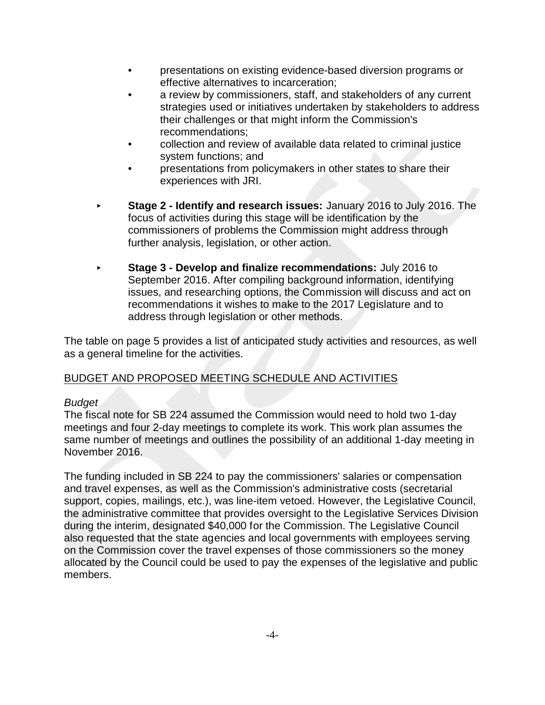- presentations on existing evidence-based diversion programs or effective alternatives to incarceration;
- a review by commissioners, staff, and stakeholders of any current strategies used or initiatives undertaken by stakeholders to address their challenges or that might inform the Commission's recommendations;
- collection and review of available data related to criminal justice system functions; and
- presentations from policymakers in other states to share their experiences with JRI.
- **► Stage 2 Identify and research issues: January 2016 to July 2016. The** focus of activities during this stage will be identification by the commissioners of problems the Commission might address through further analysis, legislation, or other action.
- **Stage 3 Develop and finalize recommendations: July 2016 to** September 2016. After compiling background information, identifying issues, and researching options, the Commission will discuss and act on recommendations it wishes to make to the 2017 Legislature and to address through legislation or other methods.

The table on page 5 provides a list of anticipated study activities and resources, as well as a general timeline for the activities.

## BUDGET AND PROPOSED MEETING SCHEDULE AND ACTIVITIES

### *Budget*

The fiscal note for SB 224 assumed the Commission would need to hold two 1-day meetings and four 2-day meetings to complete its work. This work plan assumes the same number of meetings and outlines the possibility of an additional 1-day meeting in November 2016.

The funding included in SB 224 to pay the commissioners' salaries or compensation and travel expenses, as well as the Commission's administrative costs (secretarial support, copies, mailings, etc.), was line-item vetoed. However, the Legislative Council, the administrative committee that provides oversight to the Legislative Services Division during the interim, designated \$40,000 for the Commission. The Legislative Council also requested that the state agencies and local governments with employees serving on the Commission cover the travel expenses of those commissioners so the money allocated by the Council could be used to pay the expenses of the legislative and public members.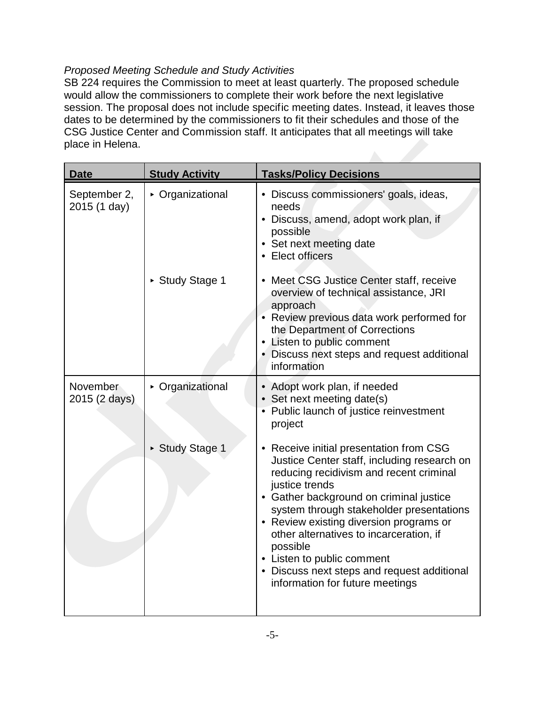### *Proposed Meeting Schedule and Study Activities*

SB 224 requires the Commission to meet at least quarterly. The proposed schedule would allow the commissioners to complete their work before the next legislative session. The proposal does not include specific meeting dates. Instead, it leaves those dates to be determined by the commissioners to fit their schedules and those of the CSG Justice Center and Commission staff. It anticipates that all meetings will take place in Helena.

| <b>Date</b>                  | <b>Study Activity</b> | <b>Tasks/Policy Decisions</b>                                                                                                                                                                                                                                                                                                                                                                                                                                |
|------------------------------|-----------------------|--------------------------------------------------------------------------------------------------------------------------------------------------------------------------------------------------------------------------------------------------------------------------------------------------------------------------------------------------------------------------------------------------------------------------------------------------------------|
| September 2,<br>2015 (1 day) | • Organizational      | • Discuss commissioners' goals, ideas,<br>needs<br>• Discuss, amend, adopt work plan, if<br>possible<br>• Set next meeting date<br>• Elect officers                                                                                                                                                                                                                                                                                                          |
|                              | ► Study Stage 1       | • Meet CSG Justice Center staff, receive<br>overview of technical assistance, JRI<br>approach<br>• Review previous data work performed for<br>the Department of Corrections<br>• Listen to public comment<br>• Discuss next steps and request additional<br>information                                                                                                                                                                                      |
| November<br>2015 (2 days)    | • Organizational      | • Adopt work plan, if needed<br>• Set next meeting date(s)<br>• Public launch of justice reinvestment<br>project                                                                                                                                                                                                                                                                                                                                             |
|                              | ▶ Study Stage 1       | • Receive initial presentation from CSG<br>Justice Center staff, including research on<br>reducing recidivism and recent criminal<br>justice trends<br>• Gather background on criminal justice<br>system through stakeholder presentations<br>• Review existing diversion programs or<br>other alternatives to incarceration, if<br>possible<br>• Listen to public comment<br>• Discuss next steps and request additional<br>information for future meetings |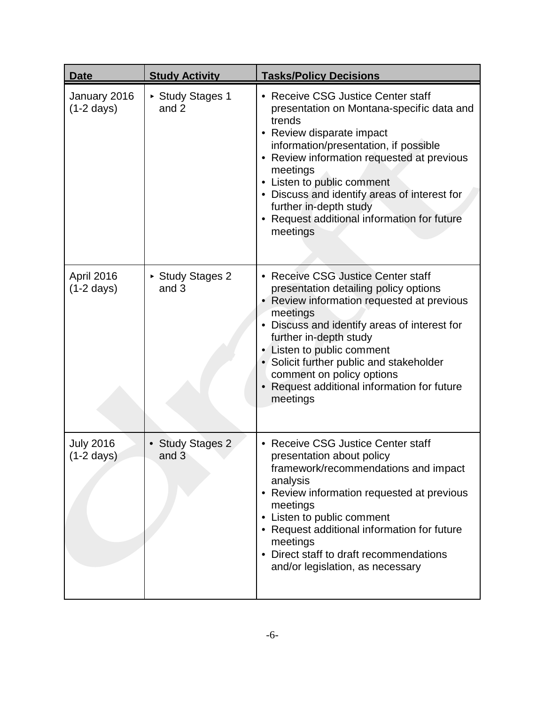| <b>Date</b>                              | <b>Study Activity</b>            | <b>Tasks/Policy Decisions</b>                                                                                                                                                                                                                                                                                                                                                            |
|------------------------------------------|----------------------------------|------------------------------------------------------------------------------------------------------------------------------------------------------------------------------------------------------------------------------------------------------------------------------------------------------------------------------------------------------------------------------------------|
| January 2016<br>$(1-2 \text{ days})$     | ► Study Stages 1<br>and 2        | • Receive CSG Justice Center staff<br>presentation on Montana-specific data and<br>trends<br>Review disparate impact<br>information/presentation, if possible<br>• Review information requested at previous<br>meetings<br>• Listen to public comment<br>• Discuss and identify areas of interest for<br>further in-depth study<br>Request additional information for future<br>meetings |
| April 2016<br>$(1-2 \text{ days})$       | ▶ Study Stages 2<br>and 3        | <b>Receive CSG Justice Center staff</b><br>presentation detailing policy options<br>• Review information requested at previous<br>meetings<br>Discuss and identify areas of interest for<br>further in-depth study<br>Listen to public comment<br>• Solicit further public and stakeholder<br>comment on policy options<br>Request additional information for future<br>meetings         |
| <b>July 2016</b><br>$(1-2 \text{ days})$ | <b>Study Stages 2</b><br>and $3$ | <b>Receive CSG Justice Center staff</b><br>presentation about policy<br>framework/recommendations and impact<br>analysis<br>Review information requested at previous<br>meetings<br>Listen to public comment<br>Request additional information for future<br>meetings<br>• Direct staff to draft recommendations<br>and/or legislation, as necessary                                     |